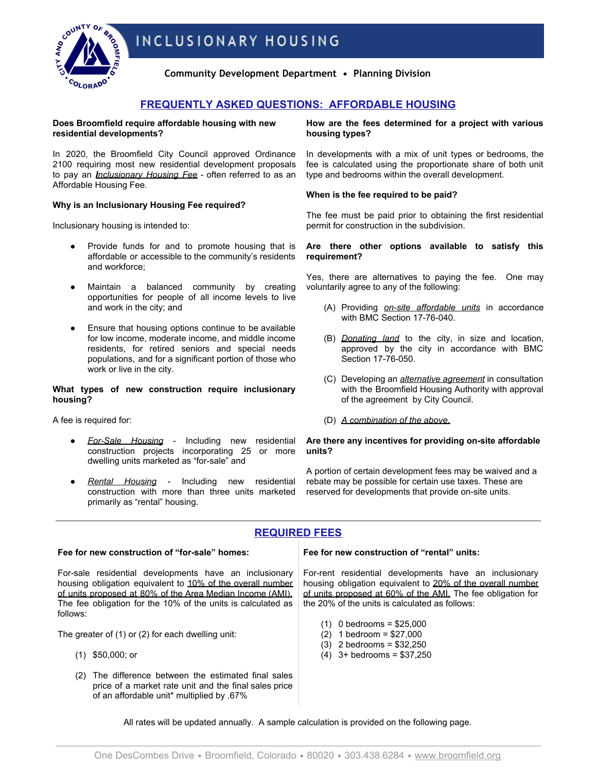



**Community Development Department • Planning Division**

# **FREQUENTLY ASKED QUESTIONS: AFFORDABLE HOUSING**

**Does Broomfield require affordable housing with new residential developments?**

In 2020, the Broomfield City Council approved Ordinance 2100 requiring most new residential development proposals to pay an *Inclusionary Housing Fee* - often referred to as an Affordable Housing Fee.

## **Why is an Inclusionary Housing Fee required?**

Inclusionary housing is intended to:

- Provide funds for and to promote housing that is affordable or accessible to the community's residents and workforce;
- Maintain a balanced community by creating opportunities for people of all income levels to live and work in the city; and
- Ensure that housing options continue to be available for low income, moderate income, and middle income residents, for retired seniors and special needs populations, and for a significant portion of those who work or live in the city.

## **What types of new construction require inclusionary housing?**

A fee is required for:

- *For-Sale Housing* Including new residential construction projects incorporating 25 or more dwelling units marketed as "for-sale" and
- *Rental Housing* Including new residential construction with more than three units marketed primarily as "rental" housing.

price of a market rate unit and the final sales price

of an affordable unit\* multiplied by .67%

**How are the fees determined for a project with various housing types?**

In developments with a mix of unit types or bedrooms, the fee is calculated using the proportionate share of both unit type and bedrooms within the overall development.

## **When is the fee required to be paid?**

The fee must be paid prior to obtaining the first residential permit for construction in the subdivision.

## **Are there other options available to satisfy this requirement?**

Yes, there are alternatives to paying the fee. One may voluntarily agree to any of the following:

- (A) Providing *on-site affordable units* in accordance with BMC Section 17-76-040.
- (B) *Donating land* to the city, in size and location, approved by the city in accordance with BMC Section 17-76-050.
- (C) Developing an *alternative agreement* in consultation with the Broomfield Housing Authority with approval of the agreement by City Council.
- (D) *A combination of the above*.

### **Are there any incentives for providing on-site affordable units?**

A portion of certain development fees may be waived and a rebate may be possible for certain use taxes. These are reserved for developments that provide on-site units.

# **REQUIRED FEES**

#### **Fee for new construction of "for-sale" homes:** For-sale residential developments have an inclusionary housing obligation equivalent to 10% of the overall number of units proposed at 80% of the Area Median Income (AMI). The fee obligation for the 10% of the units is calculated as follows: The greater of (1) or (2) for each dwelling unit: (1) \$50,000; or (2) The difference between the estimated final sales **Fee for new construction of "rental" units:** For-rent residential developments have an inclusionary housing obligation equivalent to 20% of the overall number of units proposed at 60% of the AMI. The fee obligation for the 20% of the units is calculated as follows: (1) 0 bedrooms = \$25,000 (2) 1 bedroom = \$27,000 (3) 2 bedrooms = \$32,250 (4) 3+ bedrooms = \$37,250

All rates will be updated annually. A sample calculation is provided on the following page.